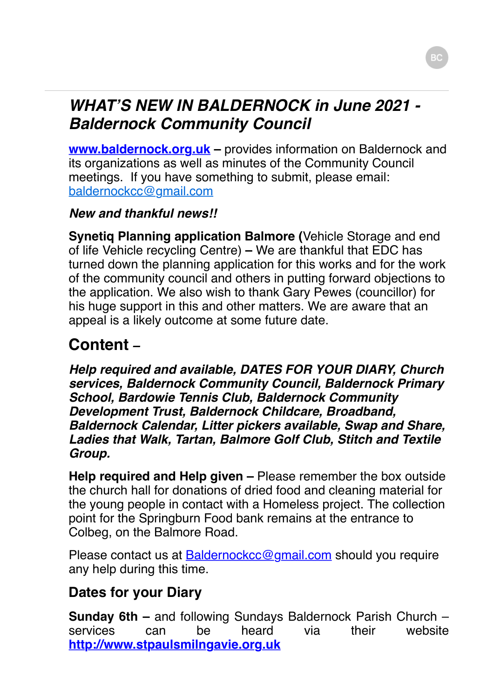### *WHAT'S NEW IN BALDERNOCK in June 2021 - Baldernock Community Council*

**www.baldernock.org.uk** – provides information on Baldernock and its organizations as well as minutes of the Community Council meetings. If you have something to submit, please email: [baldernockcc@gmail.com](mailto:baldernockcc@gmail.com)

#### *New and thankful news!!*

**Synetiq Planning application Balmore (**Vehicle Storage and end of life Vehicle recycling Centre) **–** We are thankful that EDC has turned down the planning application for this works and for the work of the community council and others in putting forward objections to the application. We also wish to thank Gary Pewes (councillor) for his huge support in this and other matters. We are aware that an appeal is a likely outcome at some future date.

# **Content** *–*

*Help required and available, DATES FOR YOUR DIARY, Church services, Baldernock Community Council, Baldernock Primary School, Bardowie Tennis Club, Baldernock Community Development Trust, Baldernock Childcare, Broadband, Baldernock Calendar, Litter pickers available, Swap and Share, Ladies that Walk, Tartan, Balmore Golf Club, Stitch and Textile Group.*

**Help required and Help given –** Please remember the box outside the church hall for donations of dried food and cleaning material for the young people in contact with a Homeless project. The collection point for the Springburn Food bank remains at the entrance to Colbeg, on the Balmore Road.

Please contact us at **Baldernockcc@gmail.com** should you require any help during this time.

### **Dates for your Diary**

**Sunday 6th –** and following Sundays Baldernock Parish Church – services can be heard via their website **[http://www.stpaulsmilngavie.org.uk](http://www.stpaulsmilngavie.org.uk/)**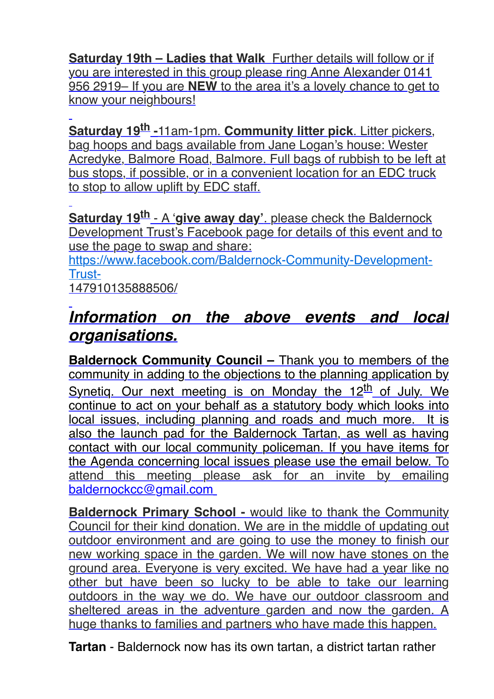**Saturday 19th – Ladies that Walk** Further details will follow or if you are interested in this group please ring Anne Alexander 0141 956 2919– If you are **NEW** to the area it's a lovely chance to get to know your neighbours!

**Saturday 19th -**11am-1pm. **Community litter pick**. Litter pickers, bag hoops and bags available from Jane Logan's house: Wester Acredyke, Balmore Road, Balmore. Full bags of rubbish to be left at bus stops, if possible, or in a convenient location for an EDC truck to stop to allow uplift by EDC staff.

**Saturday 19th** - A '**give away day'**. please check the Baldernock Development Trust's Facebook page for details of this event and to use the page to swap and share:

[https://www.facebook.com/Baldernock-Community-Development-](https://www.facebook.com/Baldernock-Community-Development-Trust-)Trust-

147910135888506/

## *Information on the above events and local organisations.*

**Baldernock Community Council –** Thank you to members of the community in adding to the objections to the planning application by Synetiq. Our next meeting is on Monday the 12<sup>th</sup> of July. We continue to act on your behalf as a statutory body which looks into local issues, including planning and roads and much more. It is also the launch pad for the Baldernock Tartan, as well as having contact with our local community policeman. If you have items for the Agenda concerning local issues please use the email below. To attend this meeting please ask for an invite by emailing [baldernockcc@gmail.com](mailto:baldernockcc@gmail.com)

**Baldernock Primary School -** would like to thank the Community Council for their kind donation. We are in the middle of updating out outdoor environment and are going to use the money to finish our new working space in the garden. We will now have stones on the ground area. Everyone is very excited. We have had a year like no other but have been so lucky to be able to take our learning outdoors in the way we do. We have our outdoor classroom and sheltered areas in the adventure garden and now the garden. A huge thanks to families and partners who have made this happen.

**Tartan** - Baldernock now has its own tartan, a district tartan rather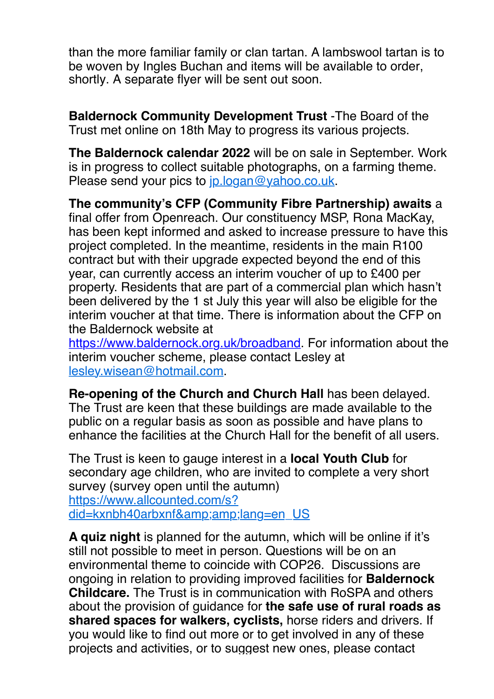than the more familiar family or clan tartan. A lambswool tartan is to be woven by Ingles Buchan and items will be available to order, shortly. A separate flyer will be sent out soon.

**Baldernock Community Development Trust** -The Board of the Trust met online on 18th May to progress its various projects.

**The Baldernock calendar 2022** will be on sale in September. Work is in progress to collect suitable photographs, on a farming theme. Please send your pics to [jp.logan@yahoo.co.uk](mailto:jp.logan@yahoo.co.uk).

**The community's CFP (Community Fibre Partnership) awaits** a final offer from Openreach. Our constituency MSP, Rona MacKay, has been kept informed and asked to increase pressure to have this project completed. In the meantime, residents in the main R100 contract but with their upgrade expected beyond the end of this year, can currently access an interim voucher of up to £400 per property. Residents that are part of a commercial plan which hasn't been delivered by the 1 st July this year will also be eligible for the interim voucher at that time. There is information about the CFP on the Baldernock website at

[https://www.baldernock.org.uk/broadband.](https://www.baldernock.org.uk/broadband) For information about the interim voucher scheme, please contact Lesley at [lesley.wisean@hotmail.com](mailto:lesley.wisean@hotmail.com).

**Re-opening of the Church and Church Hall** has been delayed. The Trust are keen that these buildings are made available to the public on a regular basis as soon as possible and have plans to enhance the facilities at the Church Hall for the benefit of all users.

The Trust is keen to gauge interest in a **local Youth Club** for secondary age children, who are invited to complete a very short survey (survey open until the autumn) https://www.allcounted.com/s? [did=kxnbh40arbxnf&lang=en\\_US](https://www.allcounted.com/s?did=kxnbh40arbxnf&amp;lang=en_US)

**A quiz night** is planned for the autumn, which will be online if it's still not possible to meet in person. Questions will be on an environmental theme to coincide with COP26. Discussions are ongoing in relation to providing improved facilities for **Baldernock Childcare.** The Trust is in communication with RoSPA and others about the provision of guidance for **the safe use of rural roads as shared spaces for walkers, cyclists,** horse riders and drivers. If you would like to find out more or to get involved in any of these projects and activities, or to suggest new ones, please contact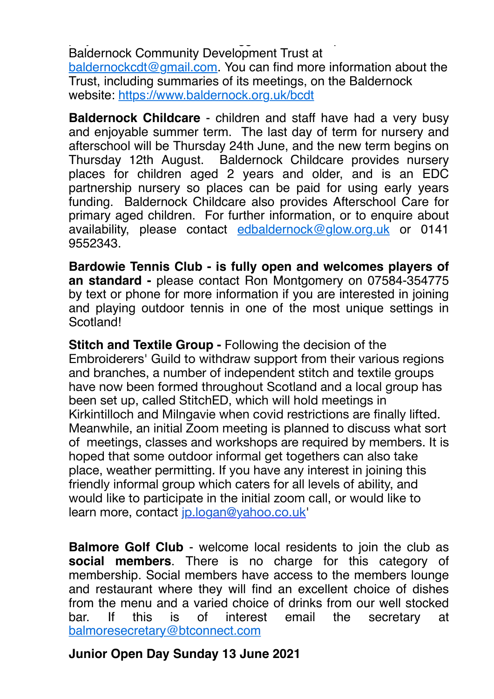projects and activities, or to suggest new ones, please contact Baldernock Community Development Trust at [baldernockcdt@gmail.com](mailto:baldernockcdt@gmail.com). You can find more information about the Trust, including summaries of its meetings, on the Baldernock website: <https://www.baldernock.org.uk/bcdt>

**Baldernock Childcare** - children and staff have had a very busy and enjoyable summer term. The last day of term for nursery and afterschool will be Thursday 24th June, and the new term begins on Thursday 12th August. Baldernock Childcare provides nursery places for children aged 2 years and older, and is an EDC partnership nursery so places can be paid for using early years funding. Baldernock Childcare also provides Afterschool Care for primary aged children. For further information, or to enquire about availability, please contact [edbaldernock@glow.org.uk](mailto:edbaldernock@glow.org.uk) or 0141 9552343.

**Bardowie Tennis Club - is fully open and welcomes players of an standard -** please contact Ron Montgomery on 07584-354775 by text or phone for more information if you are interested in joining and playing outdoor tennis in one of the most unique settings in Scotland!

**Stitch and Textile Group - Following the decision of the** Embroiderers' Guild to withdraw support from their various regions and branches, a number of independent stitch and textile groups have now been formed throughout Scotland and a local group has been set up, called StitchED, which will hold meetings in Kirkintilloch and Milngavie when covid restrictions are finally lifted. Meanwhile, an initial Zoom meeting is planned to discuss what sort of meetings, classes and workshops are required by members. It is hoped that some outdoor informal get togethers can also take place, weather permitting. If you have any interest in joining this friendly informal group which caters for all levels of ability, and would like to participate in the initial zoom call, or would like to learn more, contact [jp.logan@yahoo.co.uk](mailto:jp.logan@yahoo.co.uk)'

**Balmore Golf Club** - welcome local residents to join the club as **social members**. There is no charge for this category of membership. Social members have access to the members lounge and restaurant where they will find an excellent choice of dishes from the menu and a varied choice of drinks from our well stocked bar. If this is of interest email the secretary at [balmoresecretary@btconnect.com](mailto:balmoresecretary@btconnect.com)

#### **Junior Open Day Sunday 13 June 2021**